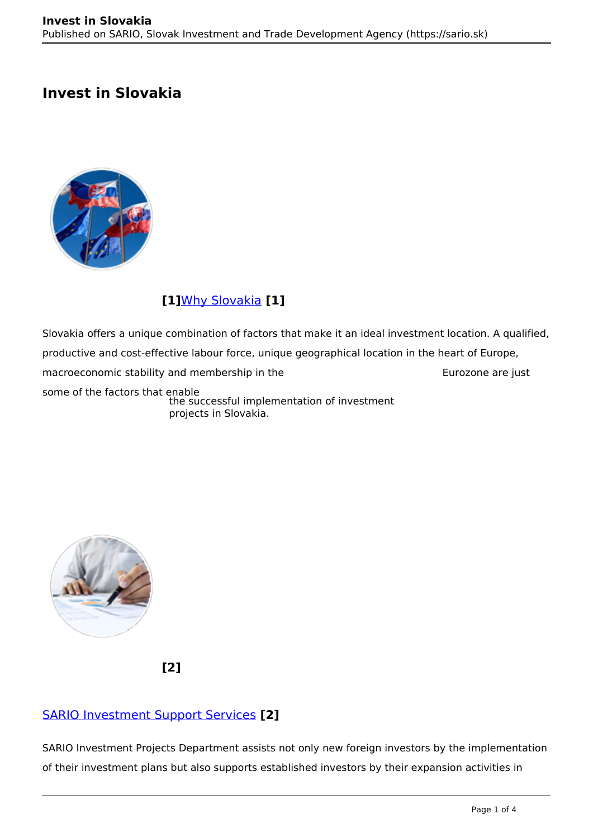# **Invest in Slovakia**



## **[1]**[Why Slovakia](https://www.sario.sk/en/invest-slovakia/why-slovakia) **[1]**

Slovakia offers a unique combination of factors that make it an ideal investment location. A qualified, productive and cost-effective labour force, unique geographical location in the heart of Europe, macroeconomic stability and membership in the Eurozone are just some of the factors that enable the successful implementation of investment projects in Slovakia.



**[2]**

## [SARIO Investment Support Services](https://www.sario.sk/en/invest-slovakia/investment-services) **[2]**

SARIO Investment Projects Department assists not only new foreign investors by the implementation of their investment plans but also supports established investors by their expansion activities in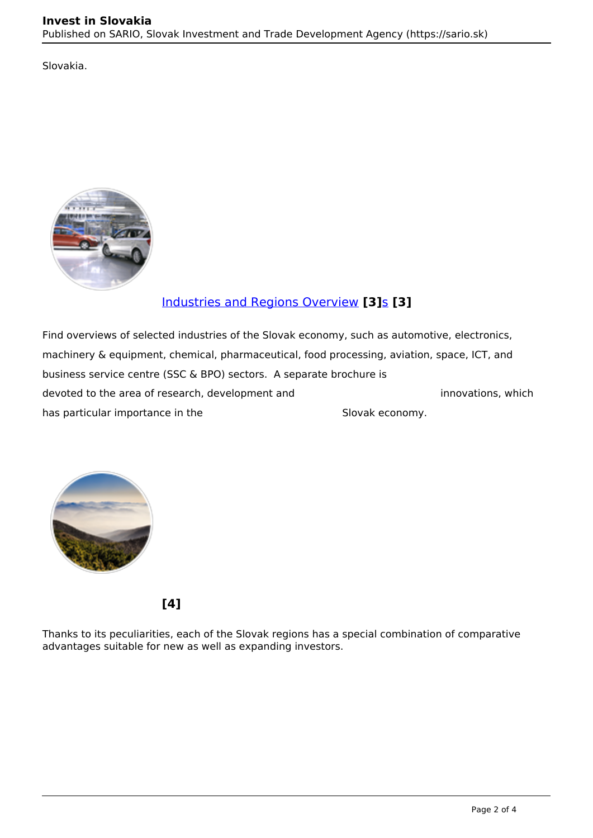Slovakia.



### [Industries and Regions Overview](https://www.sario.sk/en/invest/sector-overview) **[3]**[s](https://www.sario.sk/en/invest/sector-overview) **[3]**

Find overviews of selected industries of the Slovak economy, such as automotive, electronics, machinery & equipment, chemical, pharmaceutical, food processing, aviation, space, ICT, and business service centre (SSC & BPO) sectors. A separate brochure is devoted to the area of research, development and innovations, which has particular importance in the Slovak economy.



**[4]**

Thanks to its peculiarities, each of the Slovak regions has a special combination of comparative advantages suitable for new as well as expanding investors.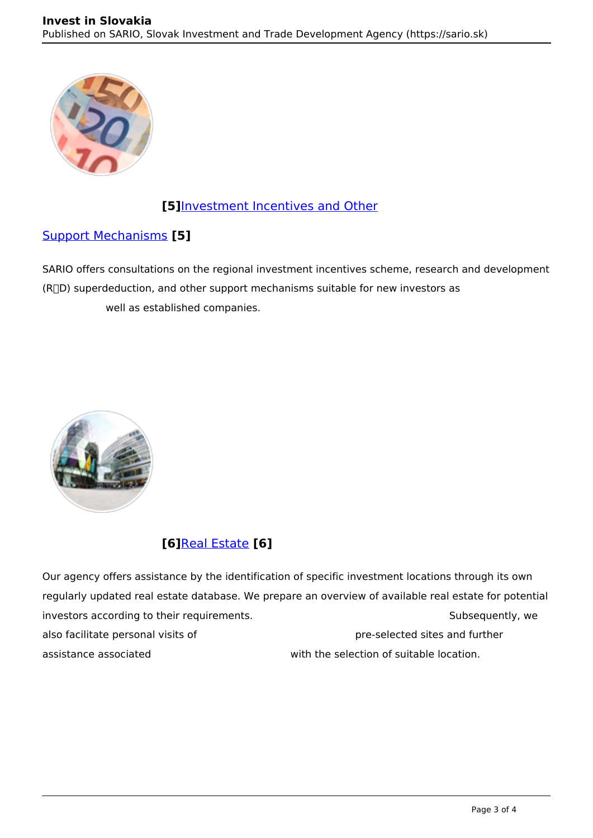

#### **[5]**[Investment Incentives and Other](https://www.sario.sk/en/invest/investment-incentives)

#### [Support Mechanisms](https://www.sario.sk/en/invest/investment-incentives) **[5]**

SARIO offers consultations on the regional investment incentives scheme, research and development  $(R<sub>1</sub>D)$  superdeduction, and other support mechanisms suitable for new investors as well as established companies.



## **[6]**[Real Estate](https://www.sario.sk/en/invest/real-estate-and-industrial-parks) **[6]**

Our agency offers assistance by the identification of specific investment locations through its own regularly updated real estate database. We prepare an overview of available real estate for potential investors according to their requirements. The same subsequently, we subsequently, we also facilitate personal visits of pre-selected sites and further assistance associated with the selection of suitable location.